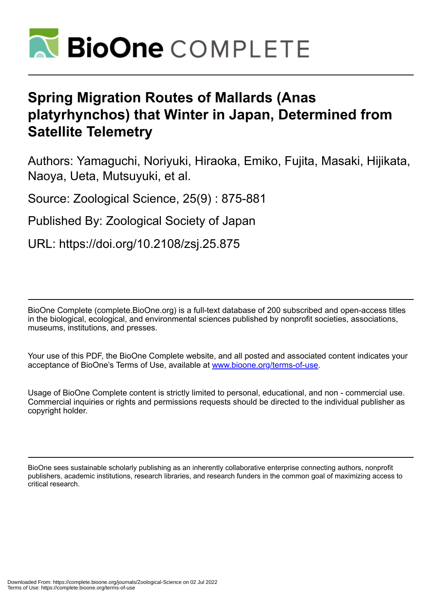

# **Spring Migration Routes of Mallards (Anas platyrhynchos) that Winter in Japan, Determined from Satellite Telemetry**

Authors: Yamaguchi, Noriyuki, Hiraoka, Emiko, Fujita, Masaki, Hijikata, Naoya, Ueta, Mutsuyuki, et al.

Source: Zoological Science, 25(9) : 875-881

Published By: Zoological Society of Japan

URL: https://doi.org/10.2108/zsj.25.875

BioOne Complete (complete.BioOne.org) is a full-text database of 200 subscribed and open-access titles in the biological, ecological, and environmental sciences published by nonprofit societies, associations, museums, institutions, and presses.

Your use of this PDF, the BioOne Complete website, and all posted and associated content indicates your acceptance of BioOne's Terms of Use, available at www.bioone.org/terms-of-use.

Usage of BioOne Complete content is strictly limited to personal, educational, and non - commercial use. Commercial inquiries or rights and permissions requests should be directed to the individual publisher as copyright holder.

BioOne sees sustainable scholarly publishing as an inherently collaborative enterprise connecting authors, nonprofit publishers, academic institutions, research libraries, and research funders in the common goal of maximizing access to critical research.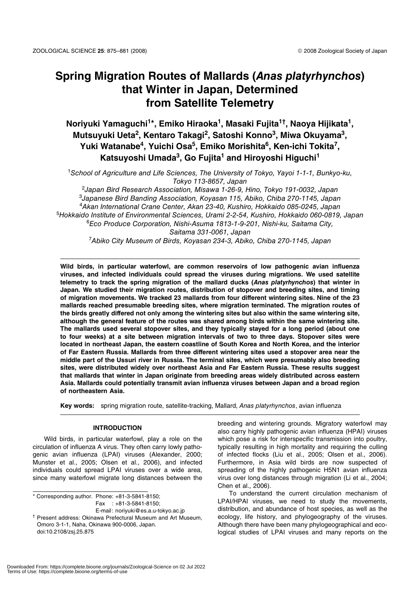# **Spring Migration Routes of Mallards (***Anas platyrhynchos***) that Winter in Japan, Determined from Satellite Telemetry**

**Noriyuki Yamaguchi1\*, Emiko Hiraoka1, Masaki Fujita1†, Naoya Hijikata1, Mutsuyuki Ueta2, Kentaro Takagi2, Satoshi Konno3, Miwa Okuyama3, Yuki Watanabe4, Yuichi Osa5, Emiko Morishita6, Ken-ichi Tokita7,** Katsuyoshi Umada<sup>3</sup>, Go Fujita<sup>1</sup> and Hiroyoshi Higuchi<sup>1</sup>

<sup>1</sup>School of Agriculture and Life Sciences, The University of Tokyo, Yayoi 1-1-1, Bunkyo-ku, Tokyo 113-8657, Japan

<sup>2</sup>Japan Bird Research Association, Misawa 1-26-9, Hino, Tokyo 191-0032, Japan <sup>3</sup>Japanese Bird Banding Association, Koyasan 115, Abiko, Chiba 270-1145, Japan <sup>4</sup>Akan International Crane Center, Akan 23-40, Kushiro, Hokkaido 085-0245, Japan <sup>5</sup>Hokkaido Institute of Environmental Sciences, Urami 2-2-54, Kushiro, Hokkaido 060-0819, Japan <sup>6</sup>Eco Produce Corporation, Nishi-Asuma 1813-1-9-201, Nishi-ku, Saitama City, Saitama 331-0061, Japan <sup>7</sup>Abiko City Museum of Birds, Koyasan 234-3, Abiko, Chiba 270-1145, Japan

**Wild birds, in particular waterfowl, are common reservoirs of low pathogenic avian influenza viruses, and infected individuals could spread the viruses during migrations. We used satellite telemetry to track the spring migration of the mallard ducks (***Anas platyrhynchos***) that winter in Japan. We studied their migration routes, distribution of stopover and breeding sites, and timing of migration movements. We tracked 23 mallards from four different wintering sites. Nine of the 23 mallards reached presumable breeding sites, where migration terminated. The migration routes of the birds greatly differed not only among the wintering sites but also within the same wintering site, although the general feature of the routes was shared among birds within the same wintering site. The mallards used several stopover sites, and they typically stayed for a long period (about one to four weeks) at a site between migration intervals of two to three days. Stopover sites were located in northeast Japan, the eastern coastline of South Korea and North Korea, and the interior of Far Eastern Russia. Mallards from three different wintering sites used a stopover area near the middle part of the Ussuri river in Russia. The terminal sites, which were presumably also breeding sites, were distributed widely over northeast Asia and Far Eastern Russia. These results suggest that mallards that winter in Japan originate from breeding areas widely distributed across eastern Asia. Mallards could potentially transmit avian influenza viruses between Japan and a broad region of northeastern Asia.**

**Key words:** spring migration route, satellite-tracking, Mallard, Anas platyrhynchos, avian influenza

# **INTRODUCTION**

Wild birds, in particular waterfowl, play a role on the circulation of influenza A virus. They often carry lowly pathogenic avian influenza (LPAI) viruses (Alexander, 2000; Munster et al., 2005; Olsen et al., 2006), and infected individuals could spread LPAI viruses over a wide area, since many waterfowl migrate long distances between the

\* Corresponding author. Phone: +81-3-5841-8150; Fax : +81-3-5841-8150; E-mail: noriyuki@es.a.u-tokyo.ac.jp

† Present address: Okinawa Prefectural Museum and Art Museum, Omoro 3-1-1, Naha, Okinawa 900-0006, Japan. doi:10.2108/zsj.25.875

breeding and wintering grounds. Migratory waterfowl may also carry highly pathogenic avian influenza (HPAI) viruses which pose a risk for interspecific transmission into poultry, typically resulting in high mortality and requiring the culling of infected flocks (Liu et al., 2005; Olsen et al., 2006). Furthermore, in Asia wild birds are now suspected of spreading of the highly pathogenic H5N1 avian influenza virus over long distances through migration (Li et al., 2004; Chen et al., 2006).

To understand the current circulation mechanism of LPAI/HPAI viruses, we need to study the movements, distribution, and abundance of host species, as well as the ecology, life history, and phylogeography of the viruses. Although there have been many phylogeographical and ecological studies of LPAI viruses and many reports on the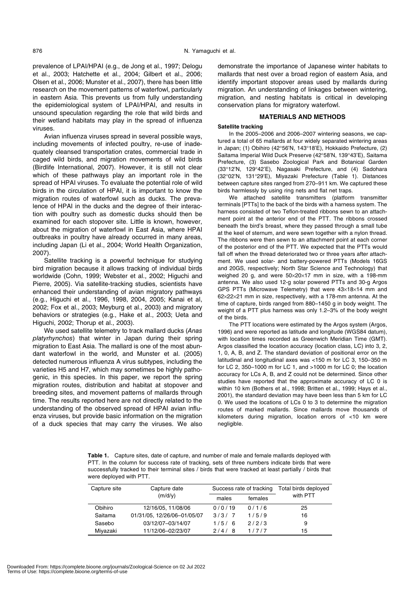prevalence of LPAI/HPAI (e.g., de Jong et al., 1997; Delogu et al., 2003; Hatchette et al., 2004; Gilbert et al., 2006; Olsen et al., 2006; Munster et al., 2007), there has been little research on the movement patterns of waterfowl, particularly in eastern Asia. This prevents us from fully understanding the epidemiological system of LPAI/HPAI, and results in unsound speculation regarding the role that wild birds and their wetland habitats may play in the spread of influenza viruses.

Avian influenza viruses spread in several possible ways, including movements of infected poultry, re-use of inadequately cleansed transportation crates, commercial trade in caged wild birds, and migration movements of wild birds (Birdlife International, 2007). However, it is still not clear which of these pathways play an important role in the spread of HPAI viruses. To evaluate the potential role of wild birds in the circulation of HPAI, it is important to know the migration routes of waterfowl such as ducks. The prevalence of HPAI in the ducks and the degree of their interaction with poultry such as domestic ducks should then be examined for each stopover site. Little is known, however, about the migration of waterfowl in East Asia, where HPAI outbreaks in poultry have already occurred in many areas, including Japan (Li et al., 2004; World Health Organization, 2007).

Satellite tracking is a powerful technique for studying bird migration because it allows tracking of individual birds worldwide (Cohn, 1999; Webster et al., 2002; Higuchi and Pierre, 2005). Via satellite-tracking studies, scientists have enhanced their understanding of avian migratory pathways (e.g., Higuchi et al., 1996, 1998, 2004, 2005; Kanai et al, 2002; Fox et al., 2003; Meyburg et al., 2003) and migratory behaviors or strategies (e.g., Hake et al., 2003; Ueta and Higuchi, 2002; Thorup et al., 2003).

We used satellite telemetry to track mallard ducks (Anas platyrhynchos) that winter in Japan during their spring migration to East Asia. The mallard is one of the most abundant waterfowl in the world, and Munster et al. (2005) detected numerous influenza A virus subtypes, including the varieties H5 and H7, which may sometimes be highly pathogenic, in this species. In this paper, we report the spring migration routes, distribution and habitat at stopover and breeding sites, and movement patterns of mallards through time. The results reported here are not directly related to the understanding of the observed spread of HPAI avian influenza viruses, but provide basic information on the migration of a duck species that may carry the viruses. We also

demonstrate the importance of Japanese winter habitats to mallards that nest over a broad region of eastern Asia, and identify important stopover areas used by mallards during migration. An understanding of linkages between wintering, migration, and nesting habitats is critical in developing conservation plans for migratory waterfowl.

# **MATERIALS AND METHODS**

#### **Satellite tracking**

In the 2005–2006 and 2006–2007 wintering seasons, we captured a total of 65 mallards at four widely separated wintering areas in Japan; (1) Obihiro (42°56'N, 143°18'E), Hokkaido Prefecture, (2) Saitama Imperial Wild Duck Preserve (42°58'N, 139°43'E), Saitama Prefecture, (3) Sasebo Zoological Park and Botanical Garden (33°12'N, 129°42'E), Nagasaki Prefecture, and (4) Sadohara (32°02'N, 131°29'E), Miyazaki Prefecture (Table 1). Distances between capture sites ranged from 270–911 km. We captured these birds harmlessly by using ring nets and flat net traps.

We attached satellite transmitters (platform transmitter terminals [PTTs] to the back of the birds with a harness system. The harness consisted of two Teflon-treated ribbons sewn to an attachment point at the anterior end of the PTT. The ribbons crossed beneath the bird's breast, where they passed through a small tube at the keel of sternum, and were sewn together with a nylon thread. The ribbons were then sewn to an attachment point at each corner of the posterior end of the PTT. We expected that the PTTs would fall off when the thread deteriorated two or three years after attachment. We used solar- and battery-powered PTTs (Models 16GS and 20GS, respectively; North Star Science and Technology) that weighed 20 g, and were 50×20×17 mm in size, with a 198-mm antenna. We also used 12-g solar powered PTTs and 30-g Argos GPS PTTs (Microwave Telemetry) that were 43×18×14 mm and 62×22×21 mm in size, respectively, with a 178-mm antenna. At the time of capture, birds ranged from 880–1450 g in body weight. The weight of a PTT plus harness was only 1.2–3% of the body weight of the birds.

The PTT locations were estimated by the Argos system (Argos, 1996) and were reported as latitude and longitude (WGS84 datum), with location times recorded as Greenwich Meridian Time (GMT). Argos classified the location accuracy (location class, LC) into 3, 2, 1, 0, A, B, and Z. The standard deviation of positional error on the latitudinal and longitudinal axes was <150 m for LC 3, 150–350 m for LC 2, 350–1000 m for LC 1, and >1000 m for LC 0; the location accuracy for LCs A, B, and Z could not be determined. Since other studies have reported that the approximate accuracy of LC 0 is within 10 km (Bothers et al., 1998; Britten et al., 1999; Hays et al., 2001), the standard deviation may have been less than 5 km for LC 0. We used the locations of LCs 0 to 3 to determine the migration routes of marked mallards. Since mallards move thousands of kilometers during migration, location errors of <10 km were negligible.

**Table 1.** Capture sites, date of capture, and number of male and female mallards deployed with PTT. In the column for success rate of tracking, sets of three numbers indicate birds that were successfully tracked to their terminal sites / birds that were tracked at least partially / birds that were deployed with PTT.

| Capture site | Capture date<br>(m/d/v)     | Success rate of tracking |         | Total birds deployed |
|--------------|-----------------------------|--------------------------|---------|----------------------|
|              |                             | males                    | females | with PTT             |
| Obihiro      | 12/16/05, 11/08/06          | 0/0/19                   | 0/1/6   | 25                   |
| Saitama      | 01/31/05. 12/26/06-01/05/07 | 3/3/7                    | 1/5/9   | 16                   |
| Sasebo       | 03/12/07-03/14/07           | 1/5/6                    | 2/2/3   | 9                    |
| Mivazaki     | 11/12/06-02/23/07           | -8<br>$2/4/$             | 1/7/7   | 15                   |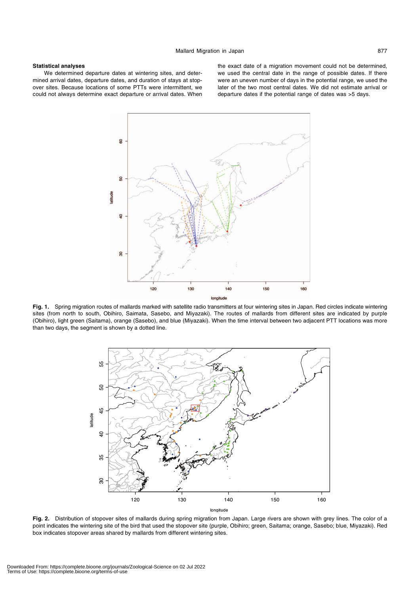# **Statistical analyses**

We determined departure dates at wintering sites, and determined arrival dates, departure dates, and duration of stays at stopover sites. Because locations of some PTTs were intermittent, we could not always determine exact departure or arrival dates. When

the exact date of a migration movement could not be determined, we used the central date in the range of possible dates. If there were an uneven number of days in the potential range, we used the later of the two most central dates. We did not estimate arrival or departure dates if the potential range of dates was >5 days.



**Fig. 1.** Spring migration routes of mallards marked with satellite radio transmitters at four wintering sites in Japan. Red circles indicate wintering sites (from north to south, Obihiro, Saimata, Sasebo, and Miyazaki). The routes of mallards from different sites are indicated by purple (Obihiro), light green (Saitama), orange (Sasebo), and blue (Miyazaki). When the time interval between two adjacent PTT locations was more than two days, the segment is shown by a dotted line.



**Fig. 2.** Distribution of stopover sites of mallards during spring migration from Japan. Large rivers are shown with grey lines. The color of a point indicates the wintering site of the bird that used the stopover site (purple, Obihiro; green, Saitama; orange, Sasebo; blue, Miyazaki). Red box indicates stopover areas shared by mallards from different wintering sites.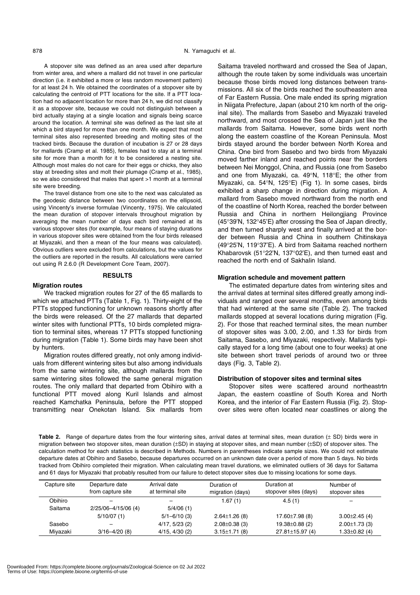A stopover site was defined as an area used after departure from winter area, and where a mallard did not travel in one particular direction (i.e. it exhibited a more or less random movement pattern) for at least 24 h. We obtained the coordinates of a stopover site by calculating the centroid of PTT locations for the site. If a PTT location had no adjacent location for more than 24 h, we did not classify it as a stopover site, because we could not distinguish between a bird actually staying at a single location and signals being scarce around the location. A terminal site was defined as the last site at which a bird stayed for more than one month. We expect that most terminal sites also represented breeding and molting sites of the tracked birds. Because the duration of incubation is 27 or 28 days for mallards (Cramp et al. 1985), females had to stay at a terminal site for more than a month for it to be considered a nesting site. Although most males do not care for their eggs or chicks, they also stay at breeding sites and molt their plumage (Cramp et al., 1985), so we also considered that males that spent >1 month at a terminal site were breeding.

The travel distance from one site to the next was calculated as the geodesic distance between two coordinates on the ellipsoid, using Vincenty's inverse formulae (Vincenty, 1975). We calculated the mean duration of stopover intervals throughout migration by averaging the mean number of days each bird remained at its various stopover sites (for example, four means of staying durations in various stopover sites were obtained from the four birds released at Miyazaki, and then a mean of the four means was calculated). Obvious outliers were excluded from calculations, but the values for the outliers are reported in the results. All calculations were carried out using R 2.6.0 (R Development Core Team, 2007).

# **RESULTS**

#### **Migration routes**

We tracked migration routes for 27 of the 65 mallards to which we attached PTTs (Table 1, Fig. 1). Thirty-eight of the PTTs stopped functioning for unknown reasons shortly after the birds were released. Of the 27 mallards that departed winter sites with functional PTTs, 10 birds completed migration to terminal sites, whereas 17 PTTs stopped functioning during migration (Table 1). Some birds may have been shot by hunters.

Migration routes differed greatly, not only among individuals from different wintering sites but also among individuals from the same wintering site, although mallards from the same wintering sites followed the same general migration routes. The only mallard that departed from Obihiro with a functional PTT moved along Kuril Islands and almost reached Kamchatka Peninsula, before the PTT stopped transmitting near Onekotan Island. Six mallards from Saitama traveled northward and crossed the Sea of Japan, although the route taken by some individuals was uncertain because those birds moved long distances between transmissions. All six of the birds reached the southeastern area of Far Eastern Russia. One male ended its spring migration in Niigata Prefecture, Japan (about 210 km north of the original site). The mallards from Sasebo and Miyazaki traveled northward, and most crossed the Sea of Japan just like the mallards from Saitama. However, some birds went north along the eastern coastline of the Korean Peninsula. Most birds stayed around the border between North Korea and China. One bird from Sasebo and two birds from Miyazaki moved farther inland and reached points near the borders between Nei Monggol, China, and Russia (one from Sasebo and one from Miyazaki, ca. 49°N, 118°E; the other from Miyazaki, ca. 54°N, 125°E) (Fig 1). In some cases, birds exhibited a sharp change in direction during migration. A mallard from Sasebo moved northward from the north end of the coastline of North Korea, reached the border between Russia and China in northern Heilongjiang Province (45°39'N, 132°45'E) after crossing the Sea of Japan directly, and then turned sharply west and finally arrived at the border between Russia and China in southern Chitinskaya (49°25'N, 119°37'E). A bird from Saitama reached northern Khabarovsk (51°22'N, 137°02'E), and then turned east and reached the north end of Sakhalin Island.

# **Migration schedule and movement pattern**

The estimated departure dates from wintering sites and the arrival dates at terminal sites differed greatly among individuals and ranged over several months, even among birds that had wintered at the same site (Table 2). The tracked mallards stopped at several locations during migration (Fig. 2). For those that reached terminal sites, the mean number of stopover sites was 3.00, 2.00, and 1.33 for birds from Saitama, Sasebo, and Miyazaki, respectively. Mallards typically stayed for a long time (about one to four weeks) at one site between short travel periods of around two or three days (Fig. 3, Table 2).

# **Distribution of stopover sites and terminal sites**

Stopover sites were scattered around northeastrtn Japan, the eastern coastline of South Korea and North Korea, and the interior of Far Eastern Russia (Fig. 2). Stopover sites were often located near coastlines or along the

**Table 2.** Range of departure dates from the four wintering sites, arrival dates at terminal sites, mean duration (± SD) birds were in migration between two stopover sites, mean duration (±SD) in staying at stopover sites, and mean number (±SD) of stopover sites. The calculation method for each statistics is described in Methods. Numbers in parentheses indicate sample sizes. We could not estimate departure dates at Obihiro and Sasebo, because departures occurred on an unknown date over a period of more than 5 days. No birds tracked from Obihiro completed their migration. When calculating mean travel durations, we eliminated outliers of 36 days for Saitama and 61 days for Miyazaki that probably resulted from our failure to detect stopover sites due to missing locations for some days.

| Capture site | Departure date<br>from capture site | Arrival date<br>at terminal site | Duration of<br>migration (days) | Duration at<br>stopover sites (days) | Number of<br>stopover sites |
|--------------|-------------------------------------|----------------------------------|---------------------------------|--------------------------------------|-----------------------------|
| Obihiro      |                                     |                                  | 1.67 (1)                        | 4.5(1)                               |                             |
| Saitama      | 2/25/06-4/15/06 (4)                 | 5/4/06(1)                        |                                 |                                      |                             |
|              | 5/10/07(1)                          | $5/1 - 6/10(3)$                  | $2.64 \pm 1.26$ (8)             | $17.60 \pm 7.98$ (8)                 | $3.00 \pm 2.45$ (4)         |
| Sasebo       |                                     | 4/17, 5/23(2)                    | $2.08 \pm 0.38$ (3)             | $19.38 \pm 0.88$ (2)                 | $2.00 \pm 1.73$ (3)         |
| Miyazaki     | $3/16 - 4/20(8)$                    | 4/15, 4/30(2)                    | $3.15 \pm 1.71$ (8)             | $27.81 \pm 15.97$ (4)                | $1.33 \pm 0.82$ (4)         |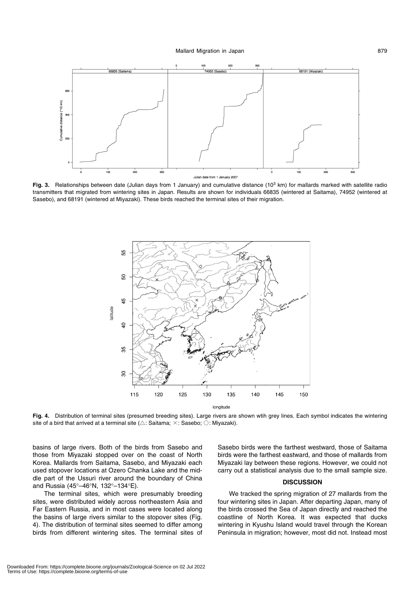

Fig. 3. Relationships between date (Julian days from 1 January) and cumulative distance (10<sup>3</sup> km) for mallards marked with satellite radio transmitters that migrated from wintering sites in Japan. Results are shown for individuals 66835 (wintered at Saitama), 74952 (wintered at Sasebo), and 68191 (wintered at Miyazaki). These birds reached the terminal sites of their migration.



**Fig. 4.** Distribution of terminal sites (presumed breeding sites). Large rivers are shown wtih grey lines. Each symbol indicates the wintering site of a bird that arrived at a terminal site ( $\triangle$ : Saitama;  $\times$ : Sasebo;  $\bigcirc$ : Miyazaki).

basins of large rivers. Both of the birds from Sasebo and those from Miyazaki stopped over on the coast of North Korea. Mallards from Saitama, Sasebo, and Miyazaki each used stopover locations at Ozero Chanka Lake and the middle part of the Ussuri river around the boundary of China and Russia (45°–46°N, 132°–134°E).

The terminal sites, which were presumably breeding sites, were distributed widely across northeastern Asia and Far Eastern Russia, and in most cases were located along the basins of large rivers similar to the stopover sites (Fig. 4). The distribution of terminal sites seemed to differ among birds from different wintering sites. The terminal sites of Sasebo birds were the farthest westward, those of Saitama birds were the farthest eastward, and those of mallards from Miyazaki lay between these regions. However, we could not carry out a statistical analysis due to the small sample size.

# **DISCUSSION**

We tracked the spring migration of 27 mallards from the four wintering sites in Japan. After departing Japan, many of the birds crossed the Sea of Japan directly and reached the coastline of North Korea. It was expected that ducks wintering in Kyushu Island would travel through the Korean Peninsula in migration; however, most did not. Instead most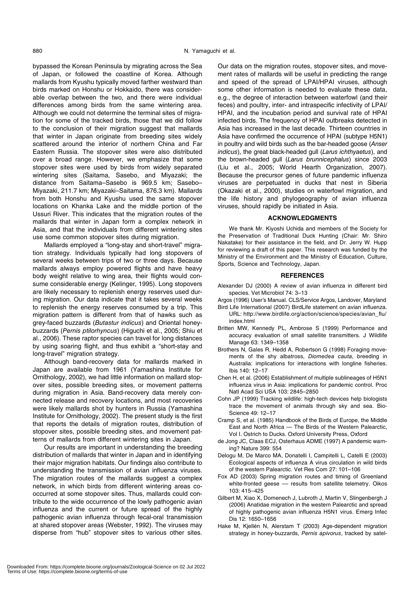bypassed the Korean Peninsula by migrating across the Sea of Japan, or followed the coastline of Korea. Although mallards from Kyushu typically moved farther westward than birds marked on Honshu or Hokkaido, there was considerable overlap between the two, and there were individual differences among birds from the same wintering area. Although we could not determine the terminal sites of migration for some of the tracked birds, those that we did follow to the conclusion of their migration suggest that mallards that winter in Japan originate from breeding sites widely scattered around the interior of northern China and Far Eastern Russia. The stopover sites were also distributed over a broad range. However, we emphasize that some stopover sites were used by birds from widely separated wintering sites (Saitama, Sasebo, and Miyazaki; the distance from Saitama–Sasebo is 969.5 km; Sasebo– Miyazaki, 211.7 km; Miyazaki–Saitama, 876.3 km). Mallards from both Honshu and Kyushu used the same stopover locations on Khanka Lake and the middle portion of the Ussuri River. This indicates that the migration routes of the mallards that winter in Japan form a complex network in Asia, and that the individuals from different wintering sites use some common stopover sites during migration.

Mallards employed a "long-stay and short-travel" migration strategy. Individuals typically had long stopovers of several weeks between trips of two or three days. Because mallards always employ powered flights and have heavy body weight relative to wing area, their flights would consume considerable energy (Kelinger, 1995). Long stopovers are likely necessary to replenish energy reserves used during migration. Our data indicate that it takes several weeks to replenish the energy reserves consumed by a trip. This migration pattern is different from that of hawks such as grey-faced buzzards (Butastur indicus) and Oriental honeybuzzards (Pernis ptilorhyncus) (Higuchi et al., 2005; Shiu et al., 2006). These raptor species can travel for long distances by using soaring flight, and thus exhibit a "short-stay and long-travel" migration strategy.

Although band-recovery data for mallards marked in Japan are available from 1961 (Yamashina Institute for Ornithology, 2002), we had little information on mallard stopover sites, possible breeding sites, or movement patterns during migration in Asia. Band-recovery data merely connected release and recovery locations, and most recoveries were likely mallards shot by hunters in Russia (Yamashina Institute for Ornithology, 2002). The present study is the first that reports the details of migration routes, distribution of stopover sites, possible breeding sites, and movement patterns of mallards from different wintering sites in Japan.

Our results are important in understanding the breeding distribution of mallards that winter in Japan and in identifying their major migration habitats. Our findings also contribute to understanding the transmission of avian influenza viruses. The migration routes of the mallards suggest a complex network, in which birds from different wintering areas cooccurred at some stopover sites. Thus, mallards could contribute to the wide occurrence of the lowly pathogenic avian influenza and the current or future spread of the highly pathogenic avian influenza through fecal-oral transmission at shared stopover areas (Webster, 1992). The viruses may disperse from "hub" stopover sites to various other sites.

Our data on the migration routes, stopover sites, and movement rates of mallards will be useful in predicting the range and speed of the spread of LPAI/HPAI viruses, although some other information is needed to evaluate these data, e.g., the degree of interaction between waterfowl (and their feces) and poultry, inter- and intraspecific infectivity of LPAI/ HPAI, and the incubation period and survival rate of HPAI infected birds. The frequency of HPAI outbreaks detected in Asia has increased in the last decade. Thirteen countries in Asia have confirmed the occurrence of HPAI (subtype H5N1) in poultry and wild birds such as the bar-headed goose (Anser indicus), the great black-headed gull (Larus ichthyaetus), and the brown-headed gull (Larus brunnicephalus) since 2003 (Liu et al., 2005; World Hearth Organization, 2007). Because the precursor genes of future pandemic influenza viruses are perpetuated in ducks that nest in Siberia (Okazaki et al., 2000), studies on waterfowl migration, and the life history and phylogeography of avian influenza viruses, should rapidly be initiated in Asia.

# **ACKNOWLEDGMENTS**

We thank Mr. Kiyoshi Uchida and members of the Society for the Preservation of Traditional Duck Hunting (Chair: Mr. Shiro Nakatake) for their assistance in the field, and Dr. Jerry W. Hupp for reviewing a draft of this paper. This research was funded by the Ministry of the Environment and the Ministry of Education, Culture, Sports, Science and Technology, Japan.

## **REFERENCES**

- Alexander DJ (2000) A review of avian influenza in different bird species. Vet Microbiol 74: 3–13
- Argos (1996) User's Manual. CLS/Service Argos, Landover, Maryland
- Bird Life International (2007) BirdLife statement on avian influenza. URL: http://www.birdlife.org/action/science/species/avian\_flu/ index.html
- Britten MW, Kennedy PL, Ambrose S (1999) Performance and accuracy evaluation of small satellite transmitters. J Wildlife Manage 63: 1349–1358
- Brothers N, Gales R, Hedd A, Robertson G (1998) Foraging movements of the shy albatross, Diomedea cauta, breeding in Australia: implications for interactions with longline fisheries. Ibis 140: 12–17
- Chen H, et al. (2006) Establishment of multiple sublineages of H5N1 influenza virus in Asia: implications for pandemic control. Proc Natl Acad Sci USA 103: 2845–2850
- Cohn JP (1999) Tracking wildlife: high-tech devices help biologists trace the movement of animals through sky and sea. Bio-Science 49: 12–17
- Cramp S, et al. (1985) Handbook of the Birds of Europe, the Middle East and North Africa — The Birds of the Western Palearctic, Vol I. Ostrich to Ducks. Oxford University Press, Oxford
- de Jong JC, Claas ECJ, Osterhaus ADME (1997) A pandemic warning? Nature 399: 554
- Delogu M, De Marco MA, Donatelli I, Campitelli L, Catelli E (2003) Ecological aspects of influenza A virus circulation in wild birds of the western Palearctic. Vet Res Com 27: 101–106
- Fox AD (2003) Spring migration routes and timing of Greenland white-fronted geese -- results from satellite telemetry. Oikos 103: 415–425
- Gilbert M, Xiao X, Domenech J, Lubroth J, Martin V, Slingenbergh J (2006) Anatidae migration in the western Palearctic and spread of highly pathogenic avian influenza H5N1 virus. Emerg Infec Dis 12: 1650–1656
- Hake M, Kjellén N, Alerstam T (2003) Age-dependent migration strategy in honey-buzzards, Pernis apivorus, tracked by satel-